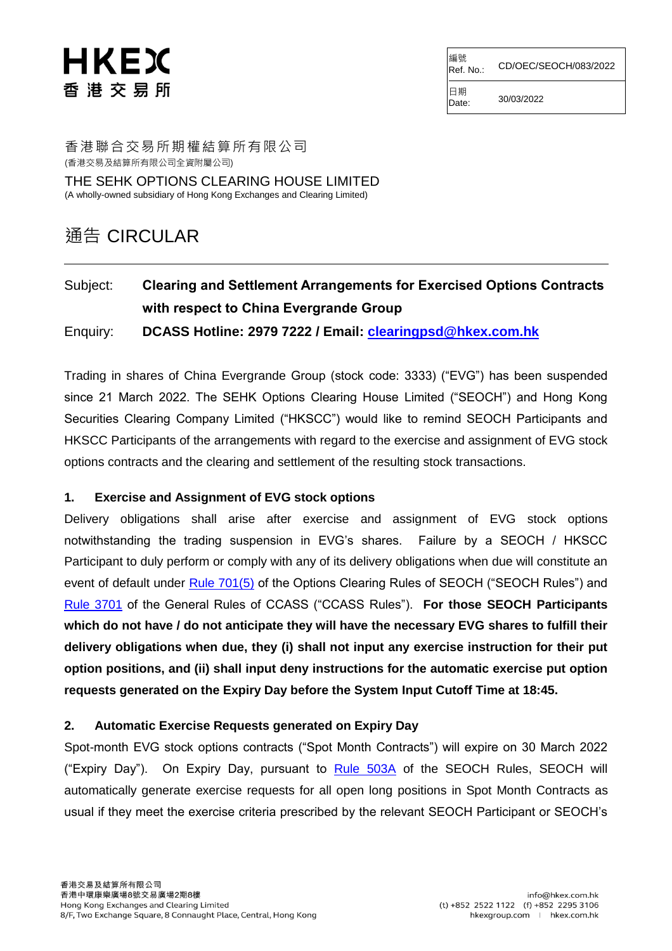# HKEX 香港交易所

編號 Ref. No.: CD/OEC/SEOCH/083/2022

日期  $Date: 30/03/2022$ 

香港聯合交易所期權結算所有限公司 (香港交易及結算所有限公司全資附屬公司) THE SEHK OPTIONS CLEARING HOUSE LIMITED

(A wholly-owned subsidiary of Hong Kong Exchanges and Clearing Limited)

# 通告 CIRCULAR

# Subject: **Clearing and Settlement Arrangements for Exercised Options Contracts with respect to China Evergrande Group**

Enquiry: **DCASS Hotline: 2979 7222 / Email: [clearingpsd@hkex.com.hk](mailto:clearingpsd@hkex.com.hk)**

Trading in shares of China Evergrande Group (stock code: 3333) ("EVG") has been suspended since 21 March 2022. The SEHK Options Clearing House Limited ("SEOCH") and Hong Kong Securities Clearing Company Limited ("HKSCC") would like to remind SEOCH Participants and HKSCC Participants of the arrangements with regard to the exercise and assignment of EVG stock options contracts and the clearing and settlement of the resulting stock transactions.

#### **1. Exercise and Assignment of EVG stock options**

Delivery obligations shall arise after exercise and assignment of EVG stock options notwithstanding the trading suspension in EVG's shares. Failure by a SEOCH / HKSCC Participant to duly perform or comply with any of its delivery obligations when due will constitute an event of default under [Rule 701\(5\)](https://www.hkex.com.hk/-/media/HKEX-Market/Services/Rules-and-Forms-and-Fees/Rules/SEOCH/Rules/Chapter7.pdf?la=en) of the Options Clearing Rules of SEOCH ("SEOCH Rules") and [Rule 3701](https://www.hkex.com.hk/-/media/HKEX-Market/Services/Rules-and-Forms-and-Fees/Rules/HKSCC/General-Rules-of-CCASS/R37.pdf?la=en) of the General Rules of CCASS ("CCASS Rules"). **For those SEOCH Participants which do not have / do not anticipate they will have the necessary EVG shares to fulfill their delivery obligations when due, they (i) shall not input any exercise instruction for their put option positions, and (ii) shall input deny instructions for the automatic exercise put option requests generated on the Expiry Day before the System Input Cutoff Time at 18:45.**

#### **2. Automatic Exercise Requests generated on Expiry Day**

Spot-month EVG stock options contracts ("Spot Month Contracts") will expire on 30 March 2022 ("Expiry Day"). On Expiry Day, pursuant to [Rule 503A](https://www.hkex.com.hk/-/media/HKEX-Market/Services/Rules-and-Forms-and-Fees/Rules/SEOCH/Rules/Chapter5.pdf?la=en) of the SEOCH Rules, SEOCH will automatically generate exercise requests for all open long positions in Spot Month Contracts as usual if they meet the exercise criteria prescribed by the relevant SEOCH Participant or SEOCH's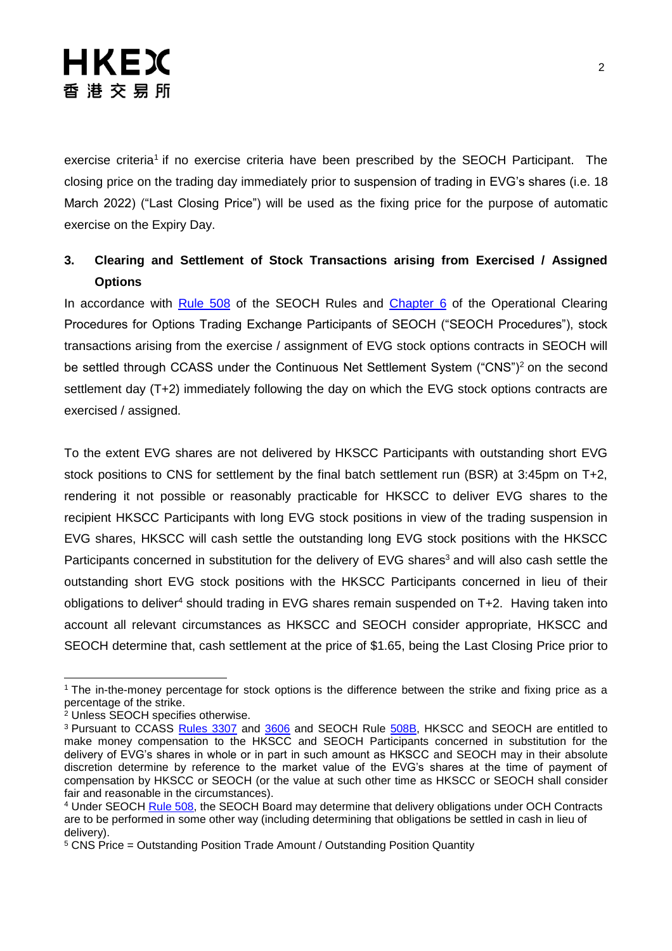exercise criteria<sup>1</sup> if no exercise criteria have been prescribed by the SEOCH Participant. The closing price on the trading day immediately prior to suspension of trading in EVG's shares (i.e. 18 March 2022) ("Last Closing Price") will be used as the fixing price for the purpose of automatic exercise on the Expiry Day.

### **3. Clearing and Settlement of Stock Transactions arising from Exercised / Assigned Options**

In accordance with [Rule 508](https://www.hkex.com.hk/-/media/HKEX-Market/Services/Rules-and-Forms-and-Fees/Rules/SEOCH/Rules/Chapter5.pdf?la=en) of the SEOCH Rules and [Chapter 6](https://www.hkex.com.hk/-/media/HKEX-Market/Services/Rules-and-Forms-and-Fees/Rules/SEOCH/Operational-Procedures/CHAP06.pdf?la=en) of the Operational Clearing Procedures for Options Trading Exchange Participants of SEOCH ("SEOCH Procedures"), stock transactions arising from the exercise / assignment of EVG stock options contracts in SEOCH will be settled through CCASS under the Continuous Net Settlement System ("CNS")<sup>2</sup> on the second settlement day (T+2) immediately following the day on which the EVG stock options contracts are exercised / assigned.

To the extent EVG shares are not delivered by HKSCC Participants with outstanding short EVG stock positions to CNS for settlement by the final batch settlement run (BSR) at 3:45pm on T+2, rendering it not possible or reasonably practicable for HKSCC to deliver EVG shares to the recipient HKSCC Participants with long EVG stock positions in view of the trading suspension in EVG shares, HKSCC will cash settle the outstanding long EVG stock positions with the HKSCC Participants concerned in substitution for the delivery of EVG shares<sup>3</sup> and will also cash settle the outstanding short EVG stock positions with the HKSCC Participants concerned in lieu of their obligations to deliver<sup>4</sup> should trading in EVG shares remain suspended on  $T+2$ . Having taken into account all relevant circumstances as HKSCC and SEOCH consider appropriate, HKSCC and SEOCH determine that, cash settlement at the price of \$1.65, being the Last Closing Price prior to

<sup>-</sup><sup>1</sup> The in-the-money percentage for stock options is the difference between the strike and fixing price as a percentage of the strike.

<sup>&</sup>lt;sup>2</sup> Unless SEOCH specifies otherwise.

<sup>&</sup>lt;sup>3</sup> Pursuant to CCASS [Rules 3307](https://www.hkex.com.hk/-/media/HKEX-Market/Services/Rules-and-Forms-and-Fees/Rules/HKSCC/General-Rules-of-CCASS/R33.pdf?la=en) and [3606](https://www.hkex.com.hk/-/media/HKEX-Market/Services/Rules-and-Forms-and-Fees/Rules/HKSCC/General-Rules-of-CCASS/R36.pdf?la=en) and SEOCH Rule [508B,](https://www.hkex.com.hk/-/media/HKEX-Market/Services/Rules-and-Forms-and-Fees/Rules/SEOCH/Rules/Chapter5.pdf?la=en) HKSCC and SEOCH are entitled to make money compensation to the HKSCC and SEOCH Participants concerned in substitution for the delivery of EVG's shares in whole or in part in such amount as HKSCC and SEOCH may in their absolute discretion determine by reference to the market value of the EVG's shares at the time of payment of compensation by HKSCC or SEOCH (or the value at such other time as HKSCC or SEOCH shall consider fair and reasonable in the circumstances).

<sup>&</sup>lt;sup>4</sup> Under SEOCH [Rule 508,](https://www.hkex.com.hk/-/media/HKEX-Market/Services/Rules-and-Forms-and-Fees/Rules/SEOCH/Rules/Chapter5.pdf?la=en) the SEOCH Board may determine that delivery obligations under OCH Contracts are to be performed in some other way (including determining that obligations be settled in cash in lieu of delivery).

<sup>5</sup> CNS Price = Outstanding Position Trade Amount / Outstanding Position Quantity